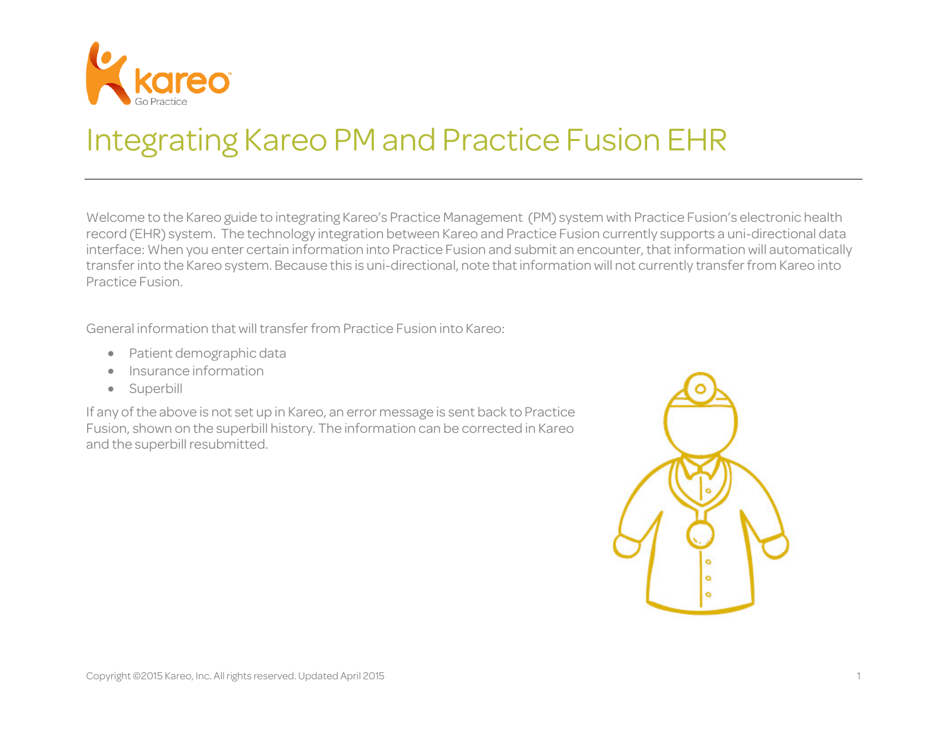

# Integrating Kareo PM and Practice Fusion EHR

Welcome to the Kareo guide to integrating Kareo's Practice Management (PM) system with Practice Fusion's electronic health record (EHR) system. The technology integration between Kareo and Practice Fusion currently supports a uni-directional data interface: When you enter certain information into Practice Fusion and submit an encounter, that information will automatically transfer into the Kareo system. Because this is uni-directional, note that information will not currently transfer from Kareo into Practice Fusion.

General information that will transfer from Practice Fusion into Kareo:

- Patient demographic data
- Insurance information
- Superbill

If any of the above is not set up in Kareo, an error message is sent back to Practice Fusion, shown on the superbill history. The information can be corrected in Kareo and the superbill resubmitted.

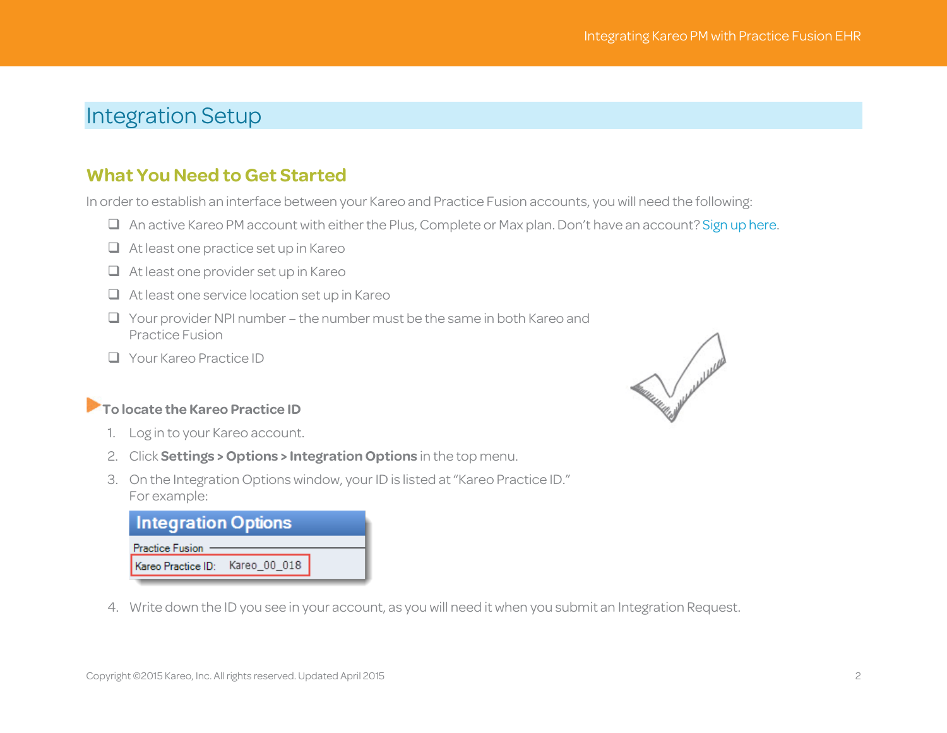## Integration Setup

#### **What You Need to Get Started**

In order to establish an interface between your Kareo and Practice Fusion accounts, you will need the following:

- An active Kareo PM account with either the Plus, Complete or Max plan. Don't have an account[? Sign up here.](http://www.kareo.com/pricing)
- $\Box$  At least one practice set up in Kareo
- At least one provider set up in Kareo
- $\Box$  At least one service location set up in Kareo
- $\Box$  Your provider NPI number the number must be the same in both Kareo and Practice Fusion
- **Nour Kareo Practice ID**

#### **To locate the Kareo Practice ID**

- 1. Log in to your Kareo account.
- 2. Click **Settings > Options > Integration Options** in the top menu.
- 3. On the Integration Options window, your ID is listed at"Kareo Practice ID." For example:

| <b>Practice Fusion</b>          |  |
|---------------------------------|--|
| Kareo Practice ID: Kareo_00_018 |  |

4. Write down the ID you see in your account, as you will need it when you submit an Integration Request.

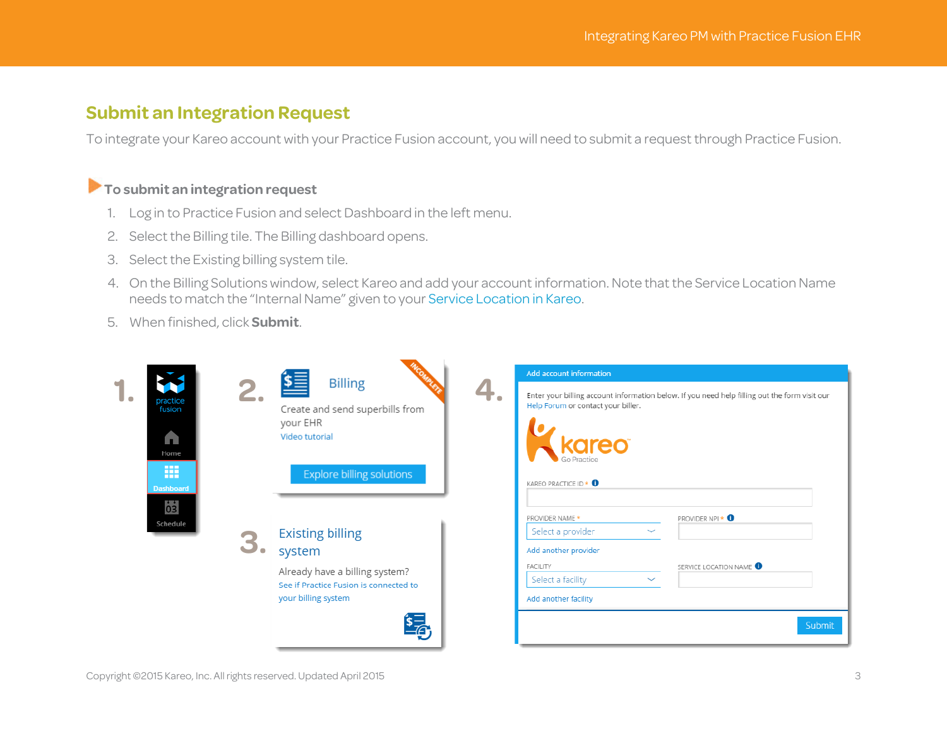#### **Submit an Integration Request**

To integrate your Kareo account with your Practice Fusion account, you will need to submit a request through Practice Fusion.

#### **To submit an integration request**

- 1. Log in to Practice Fusion and select Dashboard in the left menu.
- 2. Select the Billing tile. The Billing dashboard opens.
- 3. Select the Existing billing system tile.
- 4. On the Billing Solutions window, select Kareo and add your account information. Note that the Service Location Name needs to match the "Internal Name" given to you[r Service Location in Kareo.](http://www.kareo.com/help/practice-management/howto/new-service-location)
- 5. When finished, click **Submit**.

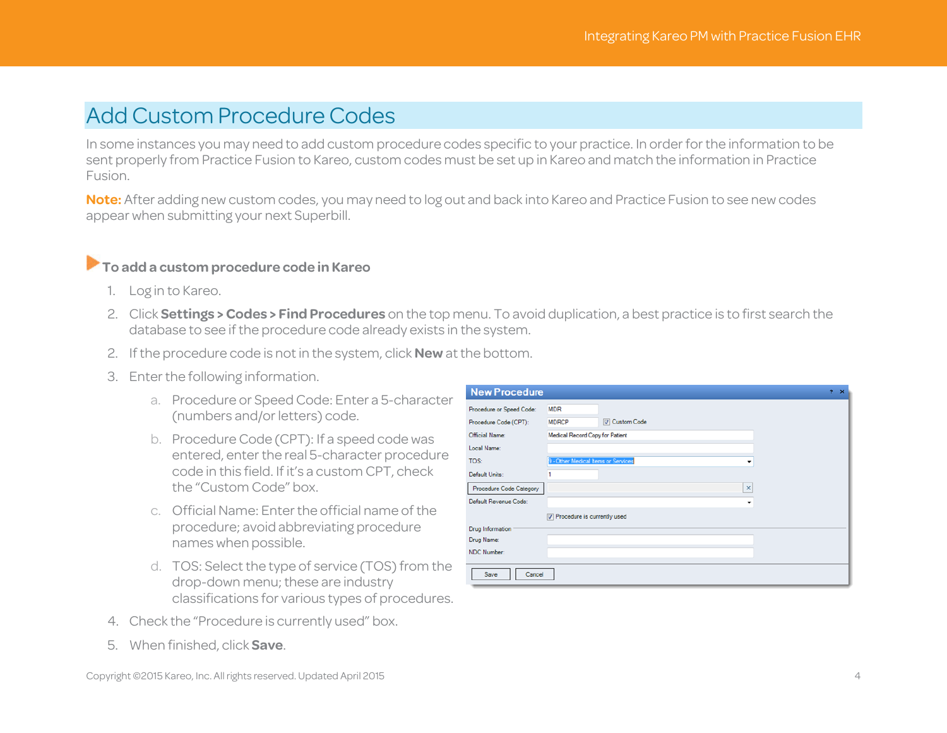## Add Custom Procedure Codes

In some instances you may need to add custom procedure codes specific to your practice. In order for the information to be sent properly from Practice Fusion to Kareo, custom codes must be set up in Kareo and match the information in Practice Fusion.

**Note:** After adding new custom codes, you may need to log out and back into Kareo and Practice Fusion to see new codes appear when submitting your next Superbill.

#### **To add a custom procedure code in Kareo**

- 1. Log in to Kareo.
- 2. Click **Settings > Codes > Find Procedures** on the top menu. To avoid duplication, a best practice is to first search the database to see if the procedure code already exists in the system.
- 2. If the procedure code is not in the system, click **New** at the bottom.
- 3. Enter the following information.
	- a. Procedure or Speed Code: Enter a 5-character (numbers and/or letters) code.
	- b. Procedure Code (CPT): If a speed code was entered, enter the real 5-character procedure code in this field. If it's a custom CPT, check the "Custom Code" box.
	- c. Official Name: Enter the official name of the procedure; avoid abbreviating procedure names when possible.
	- d. TOS: Select the type of service (TOS) from the drop-down menu; these are industry classifications for various types of procedures.
- 4. Check the "Procedure is currently used" box.
- 5. When finished, click **Save**.

| Copyright ©2015 Kareo, Inc. All rights reserved. Updated April 2015 |  |
|---------------------------------------------------------------------|--|
|---------------------------------------------------------------------|--|

| <b>New Procedure</b>     | $2 \times$                               |
|--------------------------|------------------------------------------|
| Procedure or Speed Code: | <b>MDR</b>                               |
| Procedure Code (CPT):    | V Custom Code<br><b>MDRCP</b>            |
| Official Name:           | Medical Record Copy for Patient          |
| Local Name:              |                                          |
| TOS:                     | 9 - Other Medical Items or Services<br>۰ |
| Default Units:           |                                          |
| Procedure Code Category  | $\boldsymbol{\times}$                    |
| Default Revenue Code:    | ۰                                        |
|                          | Procedure is currently used              |
| <b>Drug Information</b>  |                                          |
| Drug Name:               |                                          |
| <b>NDC Number:</b>       |                                          |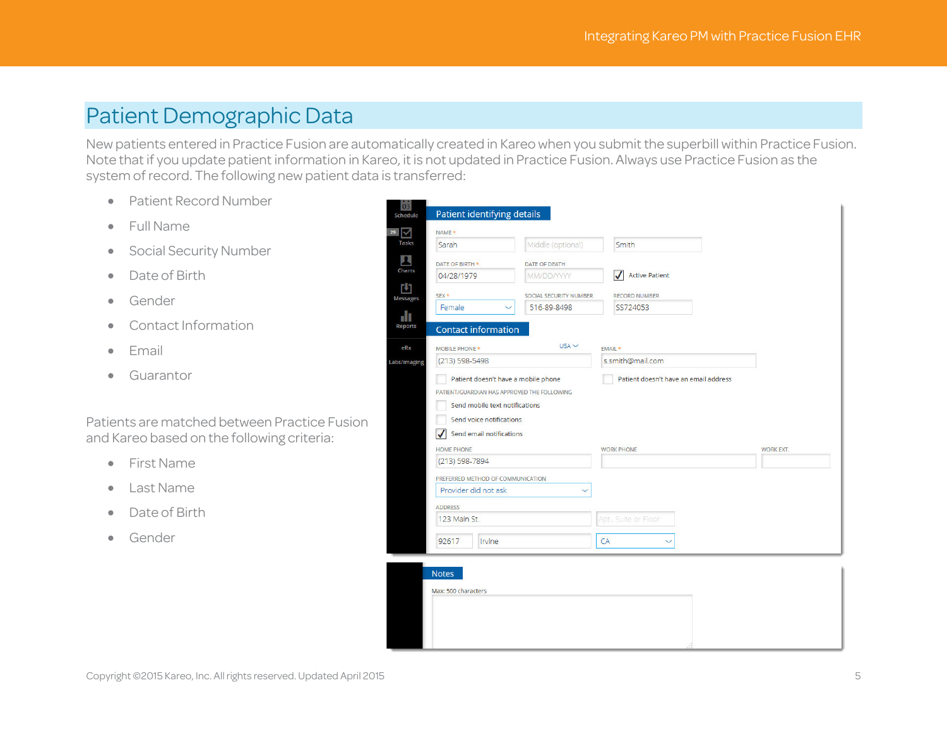## Patient Demographic Data

New patients entered in Practice Fusion are automatically created in Kareo when you submit the superbill within Practice Fusion. Note that if you update patient information in Kareo, it is not updated in Practice Fusion. Always use Practice Fusion as the system of record. The following new patient data is transferred:

- Patient Record Number
- Full Name
- Social Security Number
- Date of Birth
- Gender
- Contact Information
- Email
- Guarantor

Patients are matched between Practice Fusion and Kareo based on the following criteria:

- First Name
- Last Name
- Date of Birth
- Gender

|                                             | Middle (optional)      | Smith                                 |                  |
|---------------------------------------------|------------------------|---------------------------------------|------------------|
| Sarah                                       |                        |                                       |                  |
| DATE OF BIRTH *                             | <b>DATE OF DEATH</b>   |                                       |                  |
| 04/28/1979                                  | MM/DD/YYYY             | $\checkmark$<br><b>Active Patient</b> |                  |
| $SEX$ *                                     | SOCIAL SECURITY NUMBER | <b>RECORD NUMBER</b>                  |                  |
| Female                                      | 516-89-8498            | SS724053                              |                  |
|                                             |                        |                                       |                  |
| <b>Contact information</b>                  |                        |                                       |                  |
| <b>MOBILE PHONE *</b>                       | $USA \sim$             | EMAIL *                               |                  |
| (213) 598-5498                              |                        | s.smith@mail.com                      |                  |
| Patient doesn't have a mobile phone         |                        | Patient doesn't have an email address |                  |
| PATIENT/GUARDIAN HAS APPROVED THE FOLLOWING |                        |                                       |                  |
| Send mobile text notifications              |                        |                                       |                  |
|                                             |                        |                                       |                  |
|                                             |                        |                                       |                  |
| Send voice notifications                    |                        |                                       |                  |
| Send email notifications                    |                        |                                       |                  |
| <b>HOME PHONE</b>                           |                        | <b>WORK PHONE</b>                     | <b>WORK EXT.</b> |
| (213) 598-7894                              |                        |                                       |                  |
| PREFERRED METHOD OF COMMUNICATION           |                        |                                       |                  |
| Provider did not ask                        |                        |                                       |                  |
| <b>ADDRESS</b>                              |                        |                                       |                  |
| 123 Main St.                                |                        | Apt., Suite or Floor                  |                  |

| <b>Notes</b>        |  |      |  |
|---------------------|--|------|--|
| Max: 500 characters |  |      |  |
|                     |  |      |  |
|                     |  |      |  |
|                     |  |      |  |
|                     |  | 1.11 |  |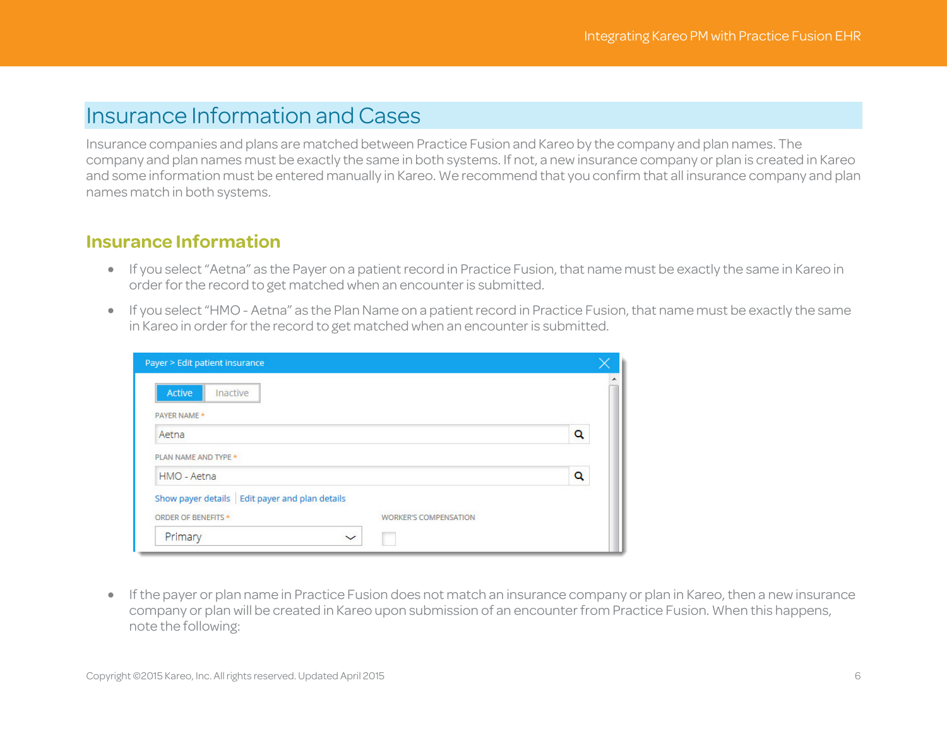## Insurance Information and Cases

Insurance companies and plans are matched between Practice Fusion and Kareo by the company and plan names. The company and plan names must be exactly the same in both systems. If not, a new insurance company or plan is created in Kareo and some information must be entered manually in Kareo. We recommend that you confirm that all insurance company and plan names match in both systems.

#### **Insurance Information**

- If you select "Aetna" as the Payer on a patient record in Practice Fusion, that name must be exactly the same in Kareo in order for the record to get matched when an encounter is submitted.
- If you select "HMO Aetna" as the Plan Name on a patient record in Practice Fusion, that name must be exactly the same in Kareo in order for the record to get matched when an encounter is submitted.

| Payer > Edit patient insurance                      |   |
|-----------------------------------------------------|---|
| Active<br>Inactive                                  |   |
| PAYER NAME *                                        |   |
| Aetna                                               | Q |
| PLAN NAME AND TYPE *                                |   |
| HMO - Aetna                                         | Q |
| Show payer details   Edit payer and plan details    |   |
| ORDER OF BENEFITS *<br><b>WORKER'S COMPENSATION</b> |   |
| Primary                                             |   |

• If the payer or plan name in Practice Fusion does not match an insurance company or plan in Kareo, then a newinsurance company or plan will be created in Kareo upon submission of an encounter from Practice Fusion. When this happens, note the following: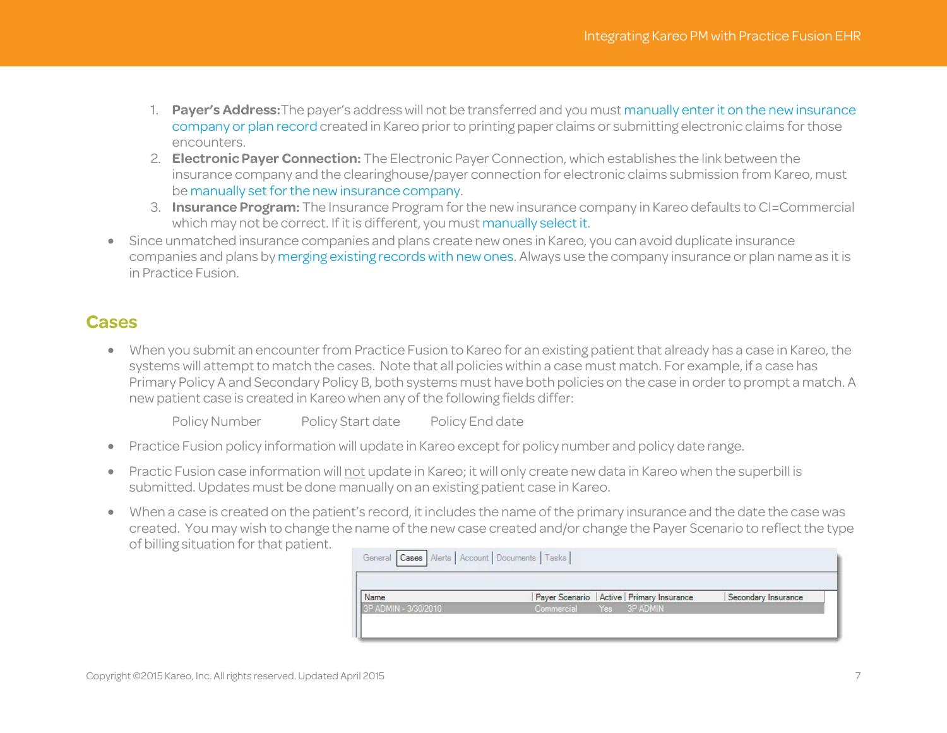- 1. **Payer's Address:**The payer's address will not be transferred and you must manually enter it [on the newinsurance](http://www.kareo.com/help/practice-management/howto/new-insurance-company)  [company or plan record](http://www.kareo.com/help/practice-management/howto/new-insurance-company) created in Kareo prior to printing paper claims or submitting electronic claims for those encounters.
- 2. **Electronic Payer Connection:** The Electronic Payer Connection, which establishes the link between the insurance company and the clearinghouse/payer connection for electronic claims submission from Kareo, must b[e manually set for the new insurance company.](http://www.kareo.com/help/practice-management/howto/electronic-claim-settings)
- 3. **Insurance Program:** The Insurance Program for the new insurance company in Kareo defaults to CI=Commercial which may not be correct. If it is different, you mus[t manually select it.](http://www.kareo.com/help/practice-management/howto/new-insurance-company)
- Since unmatched insurance companies and plans create new ones in Kareo, you can avoid duplicate insurance companies and plans b[y merging existing records with new ones.](http://www.kareo.com/help/practice-management/howto/merge-insurance-companies) Always use the company insurance or plan name as it is in Practice Fusion.

### **Cases**

• When you submit an encounter from Practice Fusion to Kareo for an existing patient that already has a case in Kareo, the systems will attempt to match the cases. Note that all policies within a case must match. For example, if a case has Primary Policy A and Secondary Policy B, both systems must have both policies on the case in order to prompt a match. A new patient case is created in Kareo when any of the following fields differ:

Policy Number Policy Start date Policy End date

- Practice Fusion policy information will update in Kareo except for policy number and policy date range.
- Practic Fusion case information will not update in Kareo; it will only create new data in Kareo when the superbill is submitted. Updates must be done manually on an existing patient case in Kareo.
- When a case is created on the patient's record, it includes the name of the primary insurance and the date the case was created. You may wish to change the name of the new case created and/or change the Payer Scenario to reflect the type of billing situation for that patient.

| General Cases Alerts Account Documents Tasks |            |                                             |                     |
|----------------------------------------------|------------|---------------------------------------------|---------------------|
| Name                                         |            | Payer Scenario   Active   Primary Insurance | Secondary Insurance |
| 3P ADMIN - 3/30/2010                         | Commercial | Yes 3P ADMIN                                |                     |
|                                              |            |                                             |                     |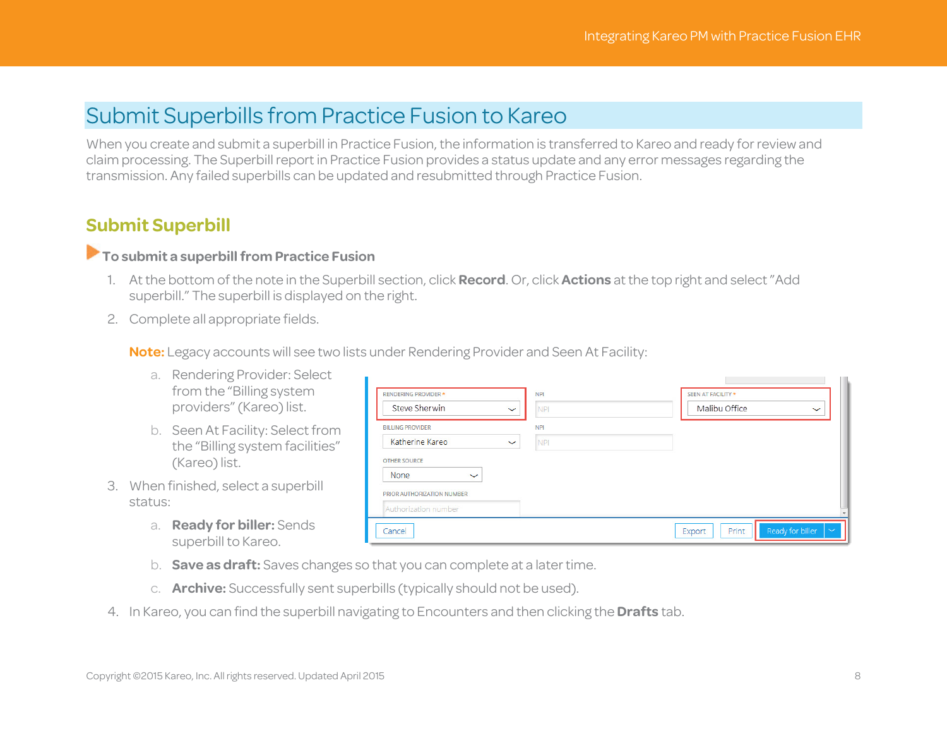## Submit Superbills from Practice Fusion to Kareo

When you create and submit a superbill in Practice Fusion, the information is transferred to Kareo and ready for review and claim processing. The Superbill report in Practice Fusion provides a status update and any error messages regarding the transmission. Any failed superbills can be updated and resubmitted through Practice Fusion.

## **Submit Superbill**

#### **To submit a superbill from Practice Fusion**

- 1. At the bottom of the note in the Superbill section, click **Record**. Or, click **Actions** at the top right and select "Add superbill." The superbill is displayed on the right.
- 2. Complete all appropriate fields.

**Note:** Legacy accounts will see two lists under Rendering Provider and Seen At Facility:

- a. Rendering Provider: Select from the "Billing system providers" (Kareo) list.
- b. Seen At Facility: Select from the "Billing system facilities" (Kareo) list.
- 3. When finished, select a superbill status:
	- a. **Ready for biller:** Sends superbill to Kareo.

| RENDERING PROVIDER *        | <b>NPI</b>                 | SEEN AT FACILITY *           |
|-----------------------------|----------------------------|------------------------------|
| Steve Sherwin               | $\checkmark$<br>NPI        | Malibu Office<br>$\ddotmark$ |
| <b>BILLING PROVIDER</b>     | <b>NPI</b>                 |                              |
| Katherine Kareo             | <b>NPI</b><br>$\checkmark$ |                              |
| <b>OTHER SOURCE</b>         |                            |                              |
| <b>None</b><br>$\checkmark$ |                            |                              |
| PRIOR AUTHORIZATION NUMBER  |                            |                              |
| Authorization number        |                            |                              |
|                             |                            |                              |

- b. **Save as draft:** Saves changes so that you can complete at a later time.
- c. **Archive:** Successfully sent superbills (typically should not be used).
- 4. In Kareo, you can find the superbill navigating to Encounters and then clicking the **Drafts** tab.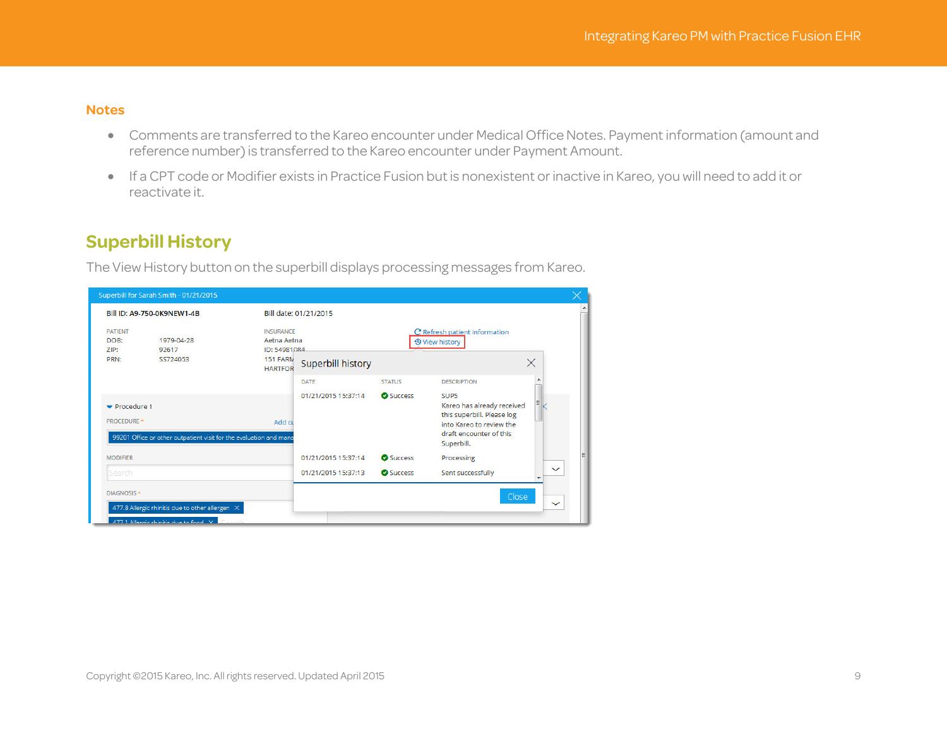#### **Notes**

- Comments are transferred to the Kareo encounter under Medical Office Notes. Payment information (amount and reference number) is transferred to the Kareo encounter under Payment Amount.
- If a CPT code or Modifier exists in Practice Fusion but is nonexistent or inactive in Kareo, you will need to add it or reactivate it.

### **Superbill History**

The View History button on the superbill displays processing messages from Kareo.

|                                        | Bill ID: A9-750-0K9NEW1-4B                                         |                                                                               | Bill date: 01/21/2015    |               |                                                                                                                                                   |              |
|----------------------------------------|--------------------------------------------------------------------|-------------------------------------------------------------------------------|--------------------------|---------------|---------------------------------------------------------------------------------------------------------------------------------------------------|--------------|
| <b>PATIENT</b><br>DOB:<br>ZIP:<br>PRN: | 1979-04-28<br>92617<br>SS724053                                    | <b>INSURANCE</b><br>Aetna Aetna<br>ID: 54981084<br>151 FARN<br><b>HARTFOR</b> | <b>Superbill history</b> |               | C Refresh patient information<br><b>9 View history</b>                                                                                            | $\times$     |
|                                        |                                                                    |                                                                               | <b>DATE</b>              | <b>STATUS</b> | <b>DESCRIPTION</b>                                                                                                                                |              |
| Procedure 1<br>PROCEDURE *             | 99201 Office or other outpatient visit for the evaluation and mana | Add cu                                                                        | 01/21/2015 15:37:14      | Success       | SUP <sub>5</sub><br>Kareo has already received<br>this superbill. Please log<br>into Kareo to review the<br>draft encounter of this<br>Superbill. |              |
| <b>MODIFIER</b>                        |                                                                    |                                                                               | 01/21/2015 15:37:14      | Success       | Processing                                                                                                                                        |              |
| Search                                 |                                                                    |                                                                               | 01/21/2015 15:37:13      | Success       | Sent successfully                                                                                                                                 | $\checkmark$ |
| DIAGNOSIS *                            |                                                                    |                                                                               |                          |               | Close                                                                                                                                             |              |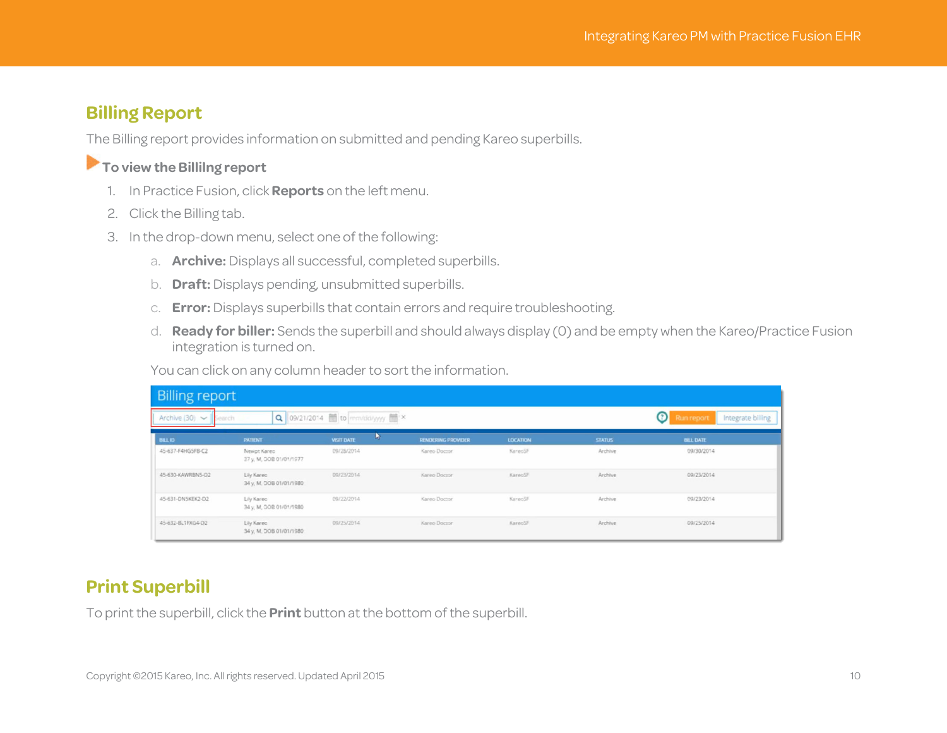### **Billing Report**

The Billing report provides information on submitted and pending Kareo superbills.

### **To view the Billilng report**

- 1. In Practice Fusion, click **Reports** on the left menu.
- 2. Click the Billing tab.
- 3. In the drop-down menu, select one of the following:
	- a. **Archive:** Displays all successful, completed superbills.
	- b. **Draft:** Displays pending, unsubmitted superbills.
	- c. **Error:** Displays superbills that contain errors and require troubleshooting.
	- d. **Ready for biller:** Sends the superbill and should always display (0) and be empty when the Kareo/Practice Fusion integration is turned on.

You can click on any column header to sort the information.

| <b>Billing report</b>           |                                        |                               |                           |                 |               |                                      |  |
|---------------------------------|----------------------------------------|-------------------------------|---------------------------|-----------------|---------------|--------------------------------------|--|
| Archive $(30)$ $\sim$<br>Search |                                        | Q 09/21/2014 to mm/dd/yyy ( x |                           |                 |               | ⊙<br>Integrate billing<br>Run report |  |
| <b>BILLID</b>                   | <b>PATIENT</b>                         | w<br><b>VISIT DATE</b>        | <b>RENDERING PROVIDER</b> | <b>LOCATION</b> | <b>STATUS</b> | <b>BILL DATE</b>                     |  |
| 45-637-F4HG5FB-C2               | Newpt Kareo<br>37 y, M, DOB 01/01/1977 | 09/28/2014                    | Kareo Doctor              | KareoSF         | Archive       | 09/30/2014                           |  |
| 45-630-KAWRBN5-D2               | Lily Kareo<br>34 y, M, DOB 01/01/1980  | 09/23/2014                    | Kareo Doctor              | KareoSF         | Archive       | 09/23/2014                           |  |
| 45-631-DNSKEK2-D2               | Lily Kareo<br>34 y, M, DOB 01/01/1980  | 09/22/2014                    | Kareo Doctor              | KareoSF         | Archive       | 09/23/2014                           |  |
| 45-632-BL1FXG4-D2               | Lily Kareo<br>34 y, M, DOB 01/01/1980  | 09/25/2014                    | Kareo Doctor              | KareoSF         | Archive       | 09/25/2014                           |  |

### **Print Superbill**

To print the superbill, click the **Print** button at the bottom of the superbill.